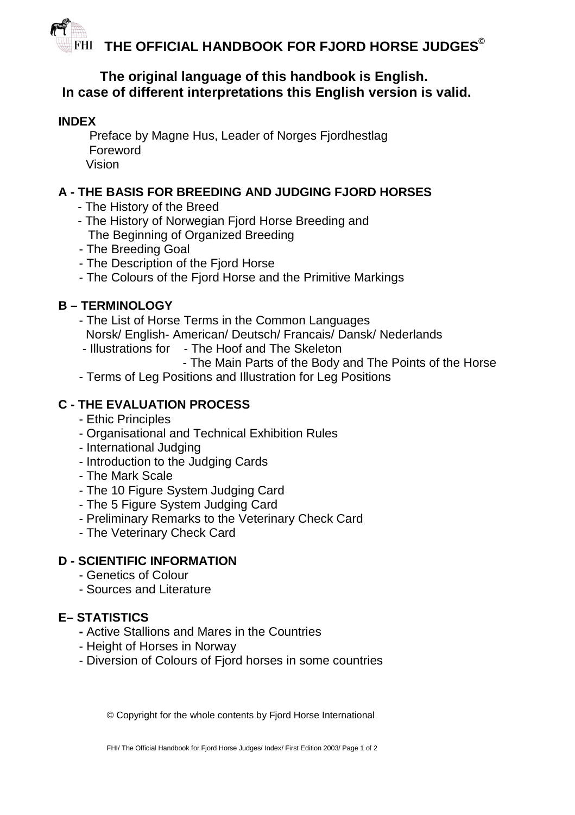**THE OFFICIAL HANDBOOK FOR FJORD HORSE JUDGES©**

# **The original language of this handbook is English. In case of different interpretations this English version is valid.**

#### **INDEX**

Preface by Magne Hus, Leader of Norges Fiordhestlag Foreword Vision

# **A - THE BASIS FOR BREEDING AND JUDGING FJORD HORSES**

- The History of the Breed
- The History of Norwegian Fjord Horse Breeding and The Beginning of Organized Breeding
- The Breeding Goal
- The Description of the Fjord Horse
- The Colours of the Fjord Horse and the Primitive Markings

# **B – TERMINOLOGY**

- The List of Horse Terms in the Common Languages Norsk/ English- American/ Deutsch/ Francais/ Dansk/ Nederlands
- Illustrations for The Hoof and The Skeleton
	- The Main Parts of the Body and The Points of the Horse
- Terms of Leg Positions and Illustration for Leg Positions

# **C - THE EVALUATION PROCESS**

- Ethic Principles
- Organisational and Technical Exhibition Rules
- International Judging
- Introduction to the Judging Cards
- The Mark Scale
- The 10 Figure System Judging Card
- The 5 Figure System Judging Card
- Preliminary Remarks to the Veterinary Check Card
- The Veterinary Check Card

#### **D - SCIENTIFIC INFORMATION**

- Genetics of Colour
- Sources and Literature

# **E– STATISTICS**

- Active Stallions and Mares in the Countries
- Height of Horses in Norway
- Diversion of Colours of Fjord horses in some countries

© Copyright for the whole contents by Fjord Horse International